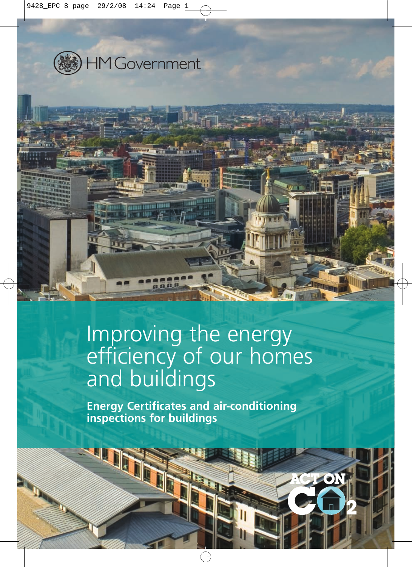



# Improving the energy efficiency of our homes and buildings

**Energy Certificates and air-conditioning inspections for buildings**

LON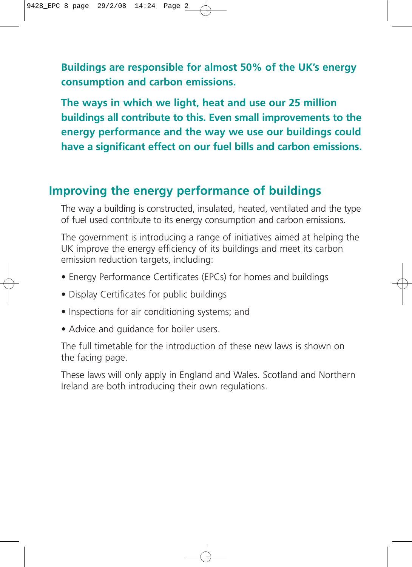**Buildings are responsible for almost 50% of the UK's energy consumption and carbon emissions.** 

**The ways in which we light, heat and use our 25 million buildings all contribute to this. Even small improvements to the energy performance and the way we use our buildings could have a significant effect on our fuel bills and carbon emissions.**

## **Improving the energy performance of buildings**

The way a building is constructed, insulated, heated, ventilated and the type of fuel used contribute to its energy consumption and carbon emissions.

The government is introducing a range of initiatives aimed at helping the UK improve the energy efficiency of its buildings and meet its carbon emission reduction targets, including:

- Energy Performance Certificates (EPCs) for homes and buildings
- Display Certificates for public buildings
- Inspections for air conditioning systems; and
- Advice and guidance for boiler users.

The full timetable for the introduction of these new laws is shown on the facing page.

These laws will only apply in England and Wales. Scotland and Northern Ireland are both introducing their own regulations.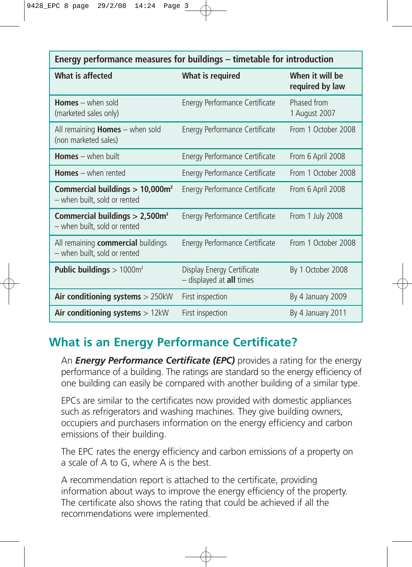| Energy performance measures for buildings – timetable for introduction      |                                                        |                                    |
|-----------------------------------------------------------------------------|--------------------------------------------------------|------------------------------------|
| What is affected                                                            | What is required                                       | When it will be<br>required by law |
| <b>Homes</b> $-$ when sold<br>(marketed sales only)                         | Energy Performance Certificate                         | Phased from<br>1 August 2007       |
| All remaining <b>Homes</b> $-$ when sold<br>(non marketed sales)            | Energy Performance Certificate                         | From 1 October 2008                |
| <b>Homes</b> $-$ when built                                                 | Energy Performance Certificate                         | From 6 April 2008                  |
| <b>Homes</b> $-$ when rented                                                | Energy Performance Certificate                         | From 1 October 2008                |
| Commercial buildings > 10,000m <sup>2</sup><br>- when built, sold or rented | Energy Performance Certificate                         | From 6 April 2008                  |
| Commercial buildings > 2,500m <sup>2</sup><br>- when built, sold or rented  | Energy Performance Certificate                         | From 1 July 2008                   |
| All remaining commercial buildings<br>- when built, sold or rented          | Energy Performance Certificate                         | From 1 October 2008                |
| <b>Public buildings</b> $> 1000$ m <sup>2</sup>                             | Display Energy Certificate<br>- displayed at all times | By 1 October 2008                  |
| Air conditioning systems $> 250kW$                                          | First inspection                                       | By 4 January 2009                  |
| Air conditioning systems $> 12kW$                                           | First inspection                                       | By 4 January 2011                  |

# **What is an Energy Performance Certificate?**

An *Energy Performance Certificate (EPC)* provides a rating for the energy performance of a building. The ratings are standard so the energy efficiency of one building can easily be compared with another building of a similar type.

EPCs are similar to the certificates now provided with domestic appliances such as refrigerators and washing machines. They give building owners, occupiers and purchasers information on the energy efficiency and carbon emissions of their building.

The EPC rates the energy efficiency and carbon emissions of a property on a scale of A to G, where A is the best.

A recommendation report is attached to the certificate, providing information about ways to improve the energy efficiency of the property. The certificate also shows the rating that could be achieved if all the recommendations were implemented.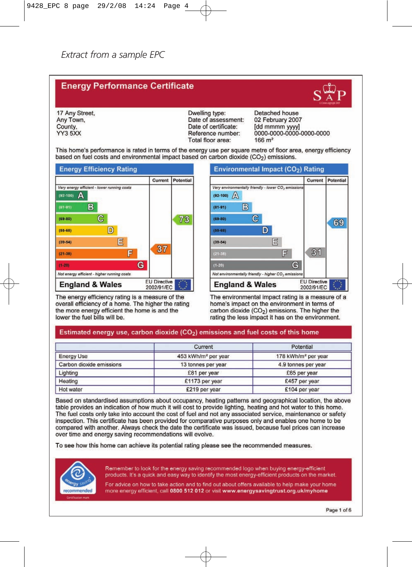#### **Energy Performance Certificate**

17 Any Street, Any Town, County. YY3 5XX

Dwelling type: Date of assessment: Date of certificate: Reference number: Total floor area:

Detached house 02 February 2007 [dd mmmm yyyy]<br>0000-0000-0000-0000-0000  $166 \text{ m}^2$ 

This home's performance is rated in terms of the energy use per square metre of floor area, energy efficiency based on fuel costs and environmental impact based on carbon dioxide (CO<sub>2</sub>) emissions.



The energy efficiency rating is a measure of the overall efficiency of a home. The higher the rating the more energy efficient the home is and the lower the fuel bills will be.

Environmental Impact (CO<sub>2</sub>) Rating Current **Potential** Very environmentally friendly - lower  $CO<sub>2</sub>$  emission:  $(92-100)$   $\sqrt{4}$ B  $(81 - 91)$  $\overline{C}$  $(69 - 80)$ 69 D  $(55 - 68)$ 目  $(39 - 54)$ 31 冒  $(1-20)$  $G$ Not environmentally friendly - higher  $CO<sub>2</sub>$  emissions **EU Directive England & Wales** 2002/91/EC

The environmental impact rating is a measure of a home's impact on the environment in terms of carbon dioxide (CO<sub>2</sub>) emissions. The higher the rating the less impact it has on the environment.

#### Estimated energy use, carbon dioxide (CO<sub>2</sub>) emissions and fuel costs of this home

|                          | Current                         | Potential                       |
|--------------------------|---------------------------------|---------------------------------|
| <b>Energy Use</b>        | 453 kWh/m <sup>2</sup> per year | 178 kWh/m <sup>2</sup> per year |
| Carbon dioxide emissions | 13 tonnes per year              | 4.9 tonnes per year             |
| Lighting                 | £81 per year                    | £65 per year                    |
| Heating                  | £1173 per year                  | £457 per year                   |
| Hot water                | £219 per year                   | £104 per year                   |

Based on standardised assumptions about occupancy, heating patterns and geographical location, the above table provides an indication of how much it will cost to provide lighting, heating and hot water to this home. The fuel costs only take into account the cost of fuel and not any associated service, maintenance or safety inspection. This certificate has been provided for comparative purposes only and enables one home to be compared with another. Always check the date the certificate was issued, because fuel prices can increase over time and energy saving recommendations will evolve.

To see how this home can achieve its potential rating please see the recommended measures.



Remember to look for the energy saving recommended logo when buying energy-efficient products. It's a quick and easy way to identify the most energy-efficient products on the market.

For advice on how to take action and to find out about offers available to help make your home more energy efficient, call 0800 512 012 or visit www.energysavingtrust.org.uk/myhome



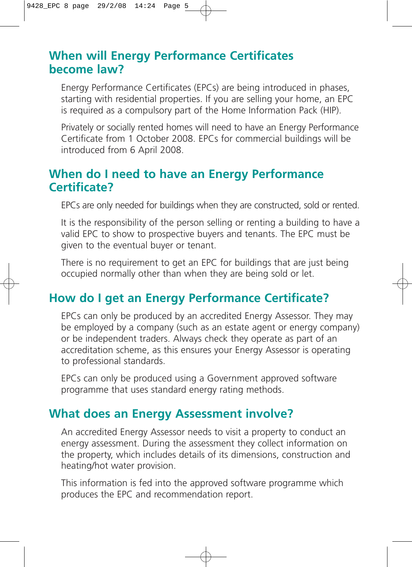## **When will Energy Performance Certificates become law?**

Energy Performance Certificates (EPCs) are being introduced in phases, starting with residential properties. If you are selling your home, an EPC is required as a compulsory part of the Home Information Pack (HIP).

Privately or socially rented homes will need to have an Energy Performance Certificate from 1 October 2008. EPCs for commercial buildings will be introduced from 6 April 2008.

#### **When do I need to have an Energy Performance Certificate?**

EPCs are only needed for buildings when they are constructed, sold or rented.

It is the responsibility of the person selling or renting a building to have a valid EPC to show to prospective buyers and tenants. The EPC must be given to the eventual buyer or tenant.

There is no requirement to get an EPC for buildings that are just being occupied normally other than when they are being sold or let.

#### **How do I get an Energy Performance Certificate?**

EPCs can only be produced by an accredited Energy Assessor. They may be employed by a company (such as an estate agent or energy company) or be independent traders. Always check they operate as part of an accreditation scheme, as this ensures your Energy Assessor is operating to professional standards.

EPCs can only be produced using a Government approved software programme that uses standard energy rating methods.

#### **What does an Energy Assessment involve?**

An accredited Energy Assessor needs to visit a property to conduct an energy assessment. During the assessment they collect information on the property, which includes details of its dimensions, construction and heating/hot water provision.

This information is fed into the approved software programme which produces the EPC and recommendation report.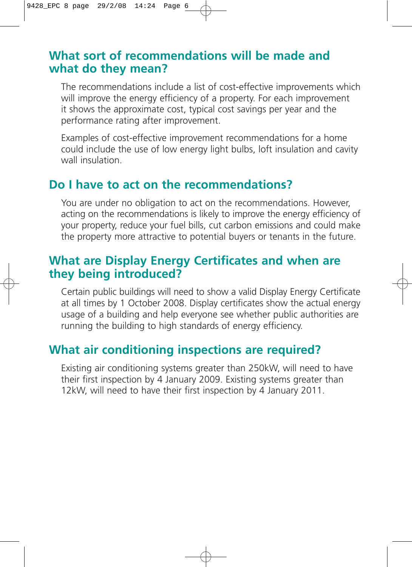#### **What sort of recommendations will be made and what do they mean?**

The recommendations include a list of cost-effective improvements which will improve the energy efficiency of a property. For each improvement it shows the approximate cost, typical cost savings per year and the performance rating after improvement.

Examples of cost-effective improvement recommendations for a home could include the use of low energy light bulbs, loft insulation and cavity wall insulation.

#### **Do I have to act on the recommendations?**

You are under no obligation to act on the recommendations. However, acting on the recommendations is likely to improve the energy efficiency of your property, reduce your fuel bills, cut carbon emissions and could make the property more attractive to potential buyers or tenants in the future.

#### **What are Display Energy Certificates and when are they being introduced?**

Certain public buildings will need to show a valid Display Energy Certificate at all times by 1 October 2008. Display certificates show the actual energy usage of a building and help everyone see whether public authorities are running the building to high standards of energy efficiency.

#### **What air conditioning inspections are required?**

Existing air conditioning systems greater than 250kW, will need to have their first inspection by 4 January 2009. Existing systems greater than 12kW, will need to have their first inspection by 4 January 2011.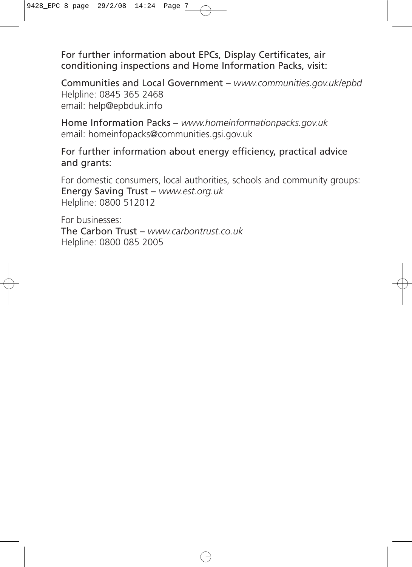For further information about EPCs, Display Certificates, air conditioning inspections and Home Information Packs, visit:

Communities and Local Government – *www.communities.gov.uk/epbd*  Helpline: 0845 365 2468 email: help@epbduk.info

Home Information Packs – *www.homeinformationpacks.gov.uk* email: homeinfopacks@communities.gsi.gov.uk

#### For further information about energy efficiency, practical advice and grants:

For domestic consumers, local authorities, schools and community groups: Energy Saving Trust – *www.est.org.uk* Helpline: 0800 512012

For businesses: The Carbon Trust – *www.carbontrust.co.uk* Helpline: 0800 085 2005